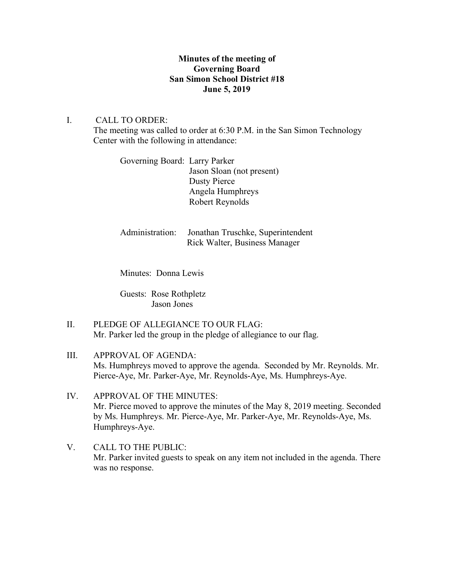# **Minutes of the meeting of Governing Board San Simon School District #18 June 5, 2019**

## I. CALL TO ORDER:

The meeting was called to order at 6:30 P.M. in the San Simon Technology Center with the following in attendance:

Governing Board: Larry Parker Jason Sloan (not present) Dusty Pierce Angela Humphreys Robert Reynolds

Administration: Jonathan Truschke, Superintendent Rick Walter, Business Manager

Minutes: Donna Lewis

Guests: Rose Rothpletz Jason Jones

- II. PLEDGE OF ALLEGIANCE TO OUR FLAG: Mr. Parker led the group in the pledge of allegiance to our flag.
- III. APPROVAL OF AGENDA: Ms. Humphreys moved to approve the agenda. Seconded by Mr. Reynolds. Mr. Pierce-Aye, Mr. Parker-Aye, Mr. Reynolds-Aye, Ms. Humphreys-Aye.
- IV. APPROVAL OF THE MINUTES: Mr. Pierce moved to approve the minutes of the May 8, 2019 meeting. Seconded by Ms. Humphreys. Mr. Pierce-Aye, Mr. Parker-Aye, Mr. Reynolds-Aye, Ms. Humphreys-Aye.
- V. CALL TO THE PUBLIC: Mr. Parker invited guests to speak on any item not included in the agenda. There was no response.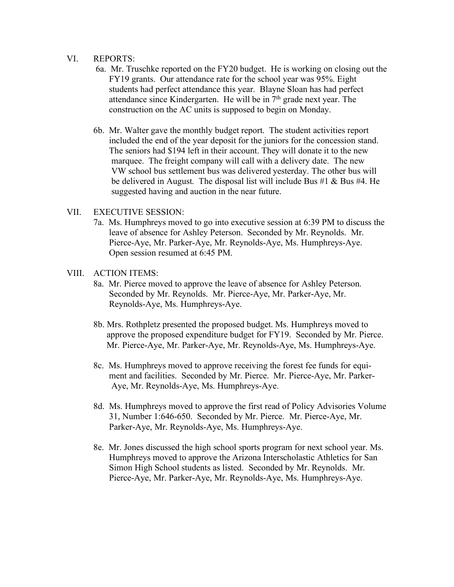#### VI. REPORTS:

- 6a. Mr. Truschke reported on the FY20 budget. He is working on closing out the FY19 grants. Our attendance rate for the school year was 95%. Eight students had perfect attendance this year. Blayne Sloan has had perfect attendance since Kindergarten. He will be in 7th grade next year. The construction on the AC units is supposed to begin on Monday.
- 6b. Mr. Walter gave the monthly budget report. The student activities report included the end of the year deposit for the juniors for the concession stand. The seniors had \$194 left in their account. They will donate it to the new marquee. The freight company will call with a delivery date. The new VW school bus settlement bus was delivered yesterday. The other bus will be delivered in August. The disposal list will include Bus #1 & Bus #4. He suggested having and auction in the near future.

#### VII. EXECUTIVE SESSION:

7a. Ms. Humphreys moved to go into executive session at 6:39 PM to discuss the leave of absence for Ashley Peterson. Seconded by Mr. Reynolds. Mr. Pierce-Aye, Mr. Parker-Aye, Mr. Reynolds-Aye, Ms. Humphreys-Aye. Open session resumed at 6:45 PM.

# VIII. ACTION ITEMS:

- 8a. Mr. Pierce moved to approve the leave of absence for Ashley Peterson. Seconded by Mr. Reynolds. Mr. Pierce-Aye, Mr. Parker-Aye, Mr. Reynolds-Aye, Ms. Humphreys-Aye.
- 8b. Mrs. Rothpletz presented the proposed budget. Ms. Humphreys moved to approve the proposed expenditure budget for FY19. Seconded by Mr. Pierce. Mr. Pierce-Aye, Mr. Parker-Aye, Mr. Reynolds-Aye, Ms. Humphreys-Aye.
- 8c. Ms. Humphreys moved to approve receiving the forest fee funds for equi ment and facilities. Seconded by Mr. Pierce. Mr. Pierce-Aye, Mr. Parker- Aye, Mr. Reynolds-Aye, Ms. Humphreys-Aye.
- 8d. Ms. Humphreys moved to approve the first read of Policy Advisories Volume 31, Number 1:646-650. Seconded by Mr. Pierce. Mr. Pierce-Aye, Mr. Parker-Aye, Mr. Reynolds-Aye, Ms. Humphreys-Aye.
- 8e. Mr. Jones discussed the high school sports program for next school year. Ms. Humphreys moved to approve the Arizona Interscholastic Athletics for San Simon High School students as listed. Seconded by Mr. Reynolds. Mr. Pierce-Aye, Mr. Parker-Aye, Mr. Reynolds-Aye, Ms. Humphreys-Aye.